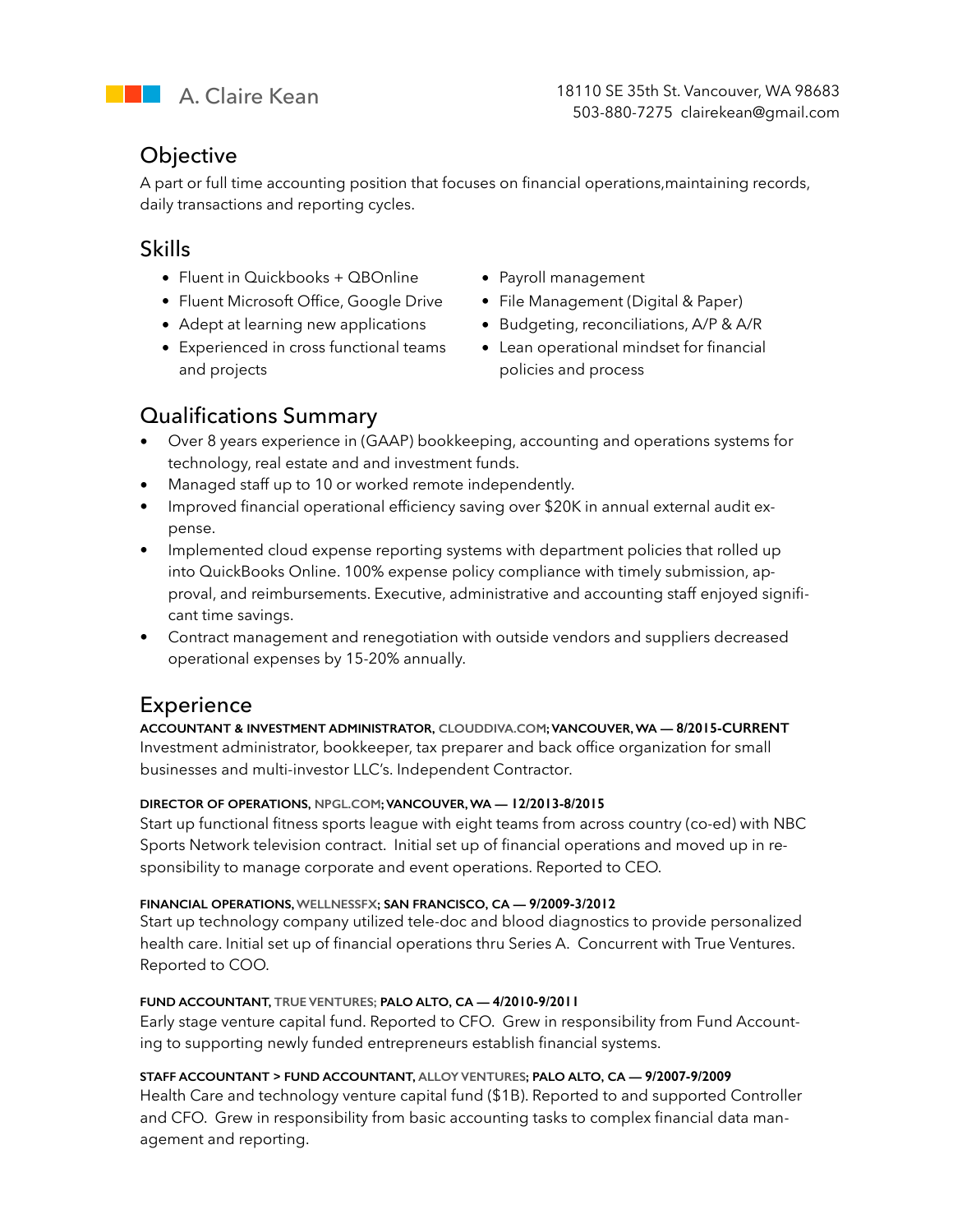

### **Objective**

A part or full time accounting position that focuses on financial operations,maintaining records, daily transactions and reporting cycles.

### Skills

- Fluent in Quickbooks + QBOnline Payroll management
- Fluent Microsoft Office, Google Drive File Management (Digital & Paper)
- 
- Experienced in cross functional teams and projects
- 
- 
- Adept at learning new applications Budgeting, reconciliations, A/P & A/R
	- Lean operational mindset for financial policies and process

# Qualifications Summary

- Over 8 years experience in (GAAP) bookkeeping, accounting and operations systems for technology, real estate and and investment funds.
- Managed staff up to 10 or worked remote independently.
- Improved financial operational efficiency saving over \$20K in annual external audit expense.
- Implemented cloud expense reporting systems with department policies that rolled up into QuickBooks Online. 100% expense policy compliance with timely submission, approval, and reimbursements. Executive, administrative and accounting staff enjoyed significant time savings.
- Contract management and renegotiation with outside vendors and suppliers decreased operational expenses by 15-20% annually.

# Experience

**ACCOUNTANT & INVESTMENT ADMINISTRATOR, [CLOUDDIVA.COM](http://clouddiva.com); VANCOUVER, WA — 8/2015-CURRENT**  Investment administrator, bookkeeper, tax preparer and back office organization for small businesses and multi-investor LLC's. Independent Contractor.

### **DIRECTOR OF OPERATIONS, [NPGL.COM;](http://npgl.com) VANCOUVER, WA — 12/2013-8/2015**

Start up functional fitness sports league with eight teams from across country (co-ed) with NBC Sports Network television contract. Initial set up of financial operations and moved up in responsibility to manage corporate and event operations. Reported to CEO.

### **FINANCIAL OPERATIONS, WELLNESSFX; SAN FRANCISCO, CA — 9/2009-3/2012**

Start up technology company utilized tele-doc and blood diagnostics to provide personalized health care. Initial set up of financial operations thru Series A. Concurrent with True Ventures. Reported to COO.

### **FUND ACCOUNTANT, TRUE VENTURES; PALO ALTO, CA — 4/2010-9/2011**

Early stage venture capital fund. Reported to CFO. Grew in responsibility from Fund Accounting to supporting newly funded entrepreneurs establish financial systems.

### **STAFF ACCOUNTANT > FUND ACCOUNTANT, ALLOY VENTURES; PALO ALTO, CA — 9/2007-9/2009**

Health Care and technology venture capital fund (\$1B). Reported to and supported Controller and CFO. Grew in responsibility from basic accounting tasks to complex financial data management and reporting.